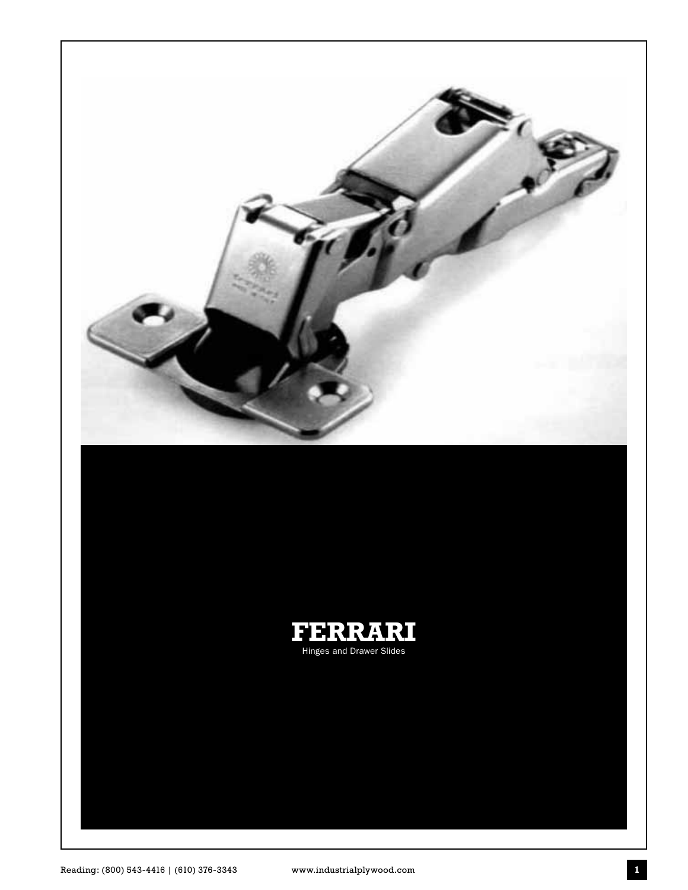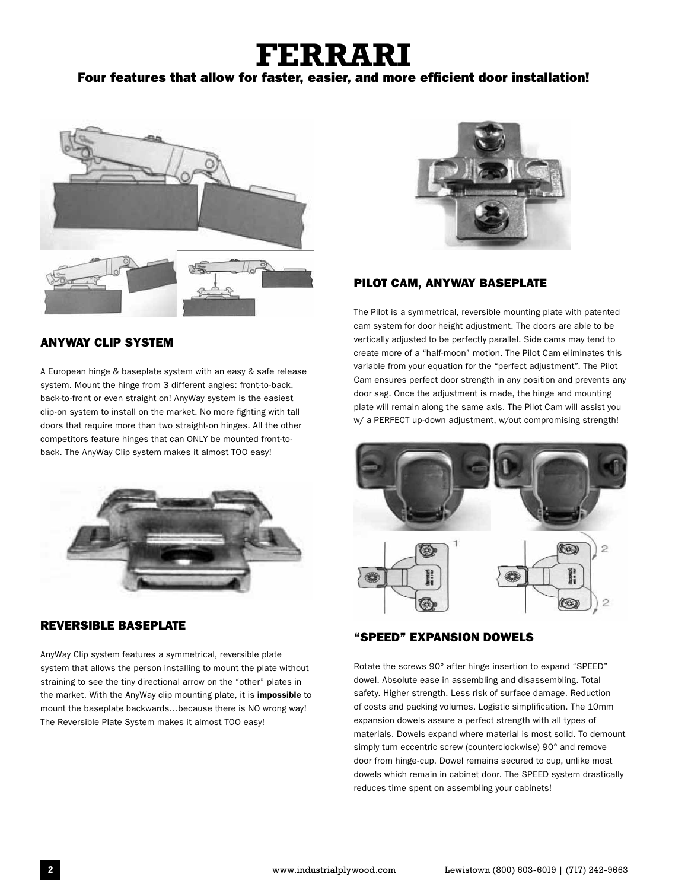# **FERRARI**

#### Four features that allow for faster, easier, and more efficient door installation!



#### ANYWAY CLIP SYSTEM

A European hinge & baseplate system with an easy & safe release system. Mount the hinge from 3 different angles: front-to-back, back-to-front or even straight on! AnyWay system is the easiest clip-on system to install on the market. No more fighting with tall doors that require more than two straight-on hinges. All the other competitors feature hinges that can ONLY be mounted front-toback. The AnyWay Clip system makes it almost TOO easy!



#### REVERSIBLE BASEPLATE

AnyWay Clip system features a symmetrical, reversible plate system that allows the person installing to mount the plate without straining to see the tiny directional arrow on the "other" plates in the market. With the AnyWay clip mounting plate, it is impossible to mount the baseplate backwards…because there is NO wrong way! The Reversible Plate System makes it almost TOO easy!



#### PILOT CAM, ANYWAY BASEPLATE

The Pilot is a symmetrical, reversible mounting plate with patented cam system for door height adjustment. The doors are able to be vertically adjusted to be perfectly parallel. Side cams may tend to create more of a "half-moon" motion. The Pilot Cam eliminates this variable from your equation for the "perfect adjustment". The Pilot Cam ensures perfect door strength in any position and prevents any door sag. Once the adjustment is made, the hinge and mounting plate will remain along the same axis. The Pilot Cam will assist you w/ a PERFECT up-down adjustment, w/out compromising strength!



#### "SPEED" EXPANSION DOWELS

Rotate the screws 90° after hinge insertion to expand "SPEED" dowel. Absolute ease in assembling and disassembling. Total safety. Higher strength. Less risk of surface damage. Reduction of costs and packing volumes. Logistic simplification. The 10mm expansion dowels assure a perfect strength with all types of materials. Dowels expand where material is most solid. To demount simply turn eccentric screw (counterclockwise) 90° and remove door from hinge-cup. Dowel remains secured to cup, unlike most dowels which remain in cabinet door. The SPEED system drastically reduces time spent on assembling your cabinets!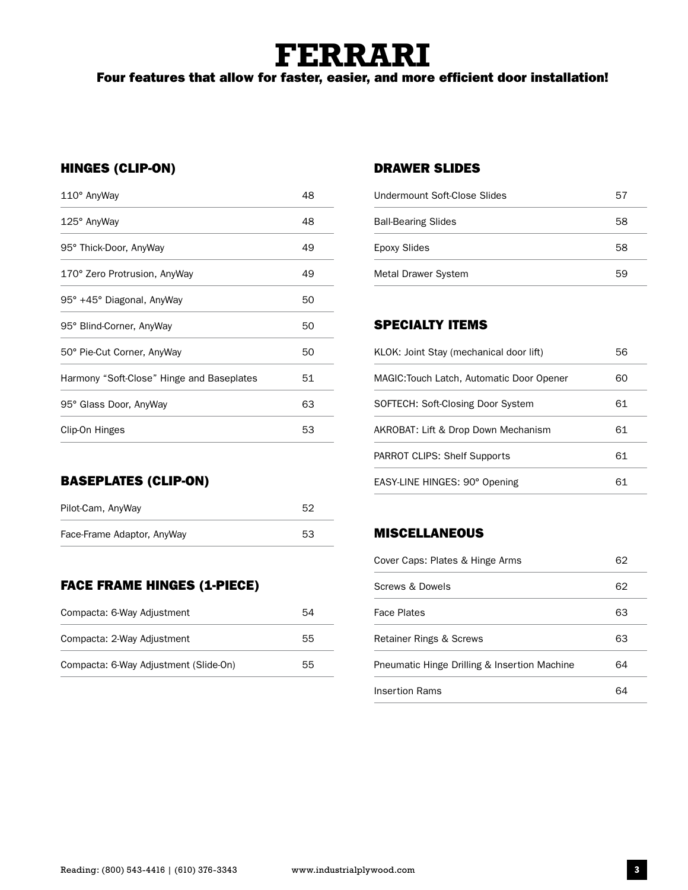# **FERRARI**

Four features that allow for faster, easier, and more efficient door installation!

#### HINGES (CLIP-ON)

| 110° AnyWay                               | 48 |
|-------------------------------------------|----|
| 125° AnyWay                               | 48 |
| 95° Thick-Door, AnyWay                    | 49 |
| 170° Zero Protrusion, AnyWay              | 49 |
| 95° +45° Diagonal, AnyWay                 | 50 |
| 95° Blind-Corner, AnyWay                  | 50 |
| 50° Pie-Cut Corner, AnyWay                | 50 |
| Harmony "Soft-Close" Hinge and Baseplates | 51 |
| 95° Glass Door, AnyWay                    | 63 |
| Clip-On Hinges                            | 53 |
|                                           |    |

#### BASEPLATES (CLIP-ON)

| Pilot-Cam, AnyWay          | 52 |
|----------------------------|----|
| Face-Frame Adaptor, AnyWay | 53 |

#### FACE FRAME HINGES (1-PIECE)

| Compacta: 6-Way Adjustment            | 54 |
|---------------------------------------|----|
| Compacta: 2-Way Adjustment            | 55 |
| Compacta: 6-Way Adjustment (Slide-On) | 55 |

#### DRAWER SLIDES

| Undermount Soft-Close Slides | 57 |
|------------------------------|----|
| <b>Ball-Bearing Slides</b>   | 58 |
| Epoxy Slides                 | 58 |
| Metal Drawer System          | 59 |

#### SPECIALTY ITEMS

| KLOK: Joint Stay (mechanical door lift)   | 56 |
|-------------------------------------------|----|
| MAGIC: Touch Latch, Automatic Door Opener | 60 |
| SOFTECH: Soft-Closing Door System         | 61 |
| AKROBAT: Lift & Drop Down Mechanism       | 61 |
| PARROT CLIPS: Shelf Supports              | 61 |
| EASY-LINE HINGES: 90° Opening             | 61 |

#### MISCELLANEOUS

| Cover Caps: Plates & Hinge Arms              |    |
|----------------------------------------------|----|
| Screws & Dowels                              | 62 |
| <b>Face Plates</b>                           | 63 |
| Retainer Rings & Screws                      | 63 |
| Pneumatic Hinge Drilling & Insertion Machine | 64 |
| Insertion Rams                               |    |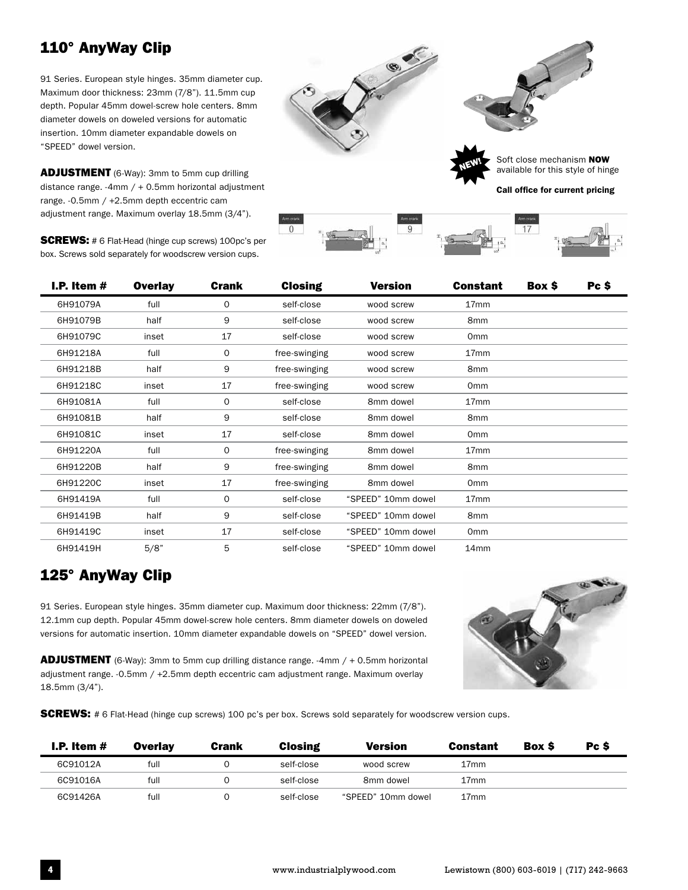# 110° AnyWay Clip

91 Series. European style hinges. 35mm diameter cup. Maximum door thickness: 23mm (7/8"). 11.5mm cup depth. Popular 45mm dowel-screw hole centers. 8mm diameter dowels on doweled versions for automatic insertion. 10mm diameter expandable dowels on "SPEED" dowel version.

ADJUSTMENT (6-Way): 3mm to 5mm cup drilling distance range. -4mm  $/ + 0.5$ mm horizontal adjustment range. -0.5mm / +2.5mm depth eccentric cam adjustment range. Maximum overlay 18.5mm (3/4").

**SCREWS:** # 6 Flat-Head (hinge cup screws) 100pc's per box. Screws sold separately for woodscrew version cups.



| I.P. Item $#$ | <b>Overlay</b> | <b>Crank</b> | <b>Closing</b> | Version            | <b>Constant</b>  | Box \$ | Pc \$ |  |
|---------------|----------------|--------------|----------------|--------------------|------------------|--------|-------|--|
| 6H91079A      | full           | $\mathbf 0$  | self-close     | wood screw         | 17 <sub>mm</sub> |        |       |  |
| 6H91079B      | half           | 9            | self-close     | wood screw         | 8 <sub>mm</sub>  |        |       |  |
| 6H91079C      | inset          | 17           | self-close     | wood screw         | 0 <sub>mm</sub>  |        |       |  |
| 6H91218A      | full           | $\mathbf 0$  | free-swinging  | wood screw         | 17 <sub>mm</sub> |        |       |  |
| 6H91218B      | half           | 9            | free-swinging  | wood screw         | 8 <sub>mm</sub>  |        |       |  |
| 6H91218C      | inset          | 17           | free-swinging  | wood screw         | 0 <sub>mm</sub>  |        |       |  |
| 6H91081A      | full           | $\mathbf 0$  | self-close     | 8mm dowel          | 17 <sub>mm</sub> |        |       |  |
| 6H91081B      | half           | 9            | self-close     | 8mm dowel          | 8 <sub>mm</sub>  |        |       |  |
| 6H91081C      | inset          | 17           | self-close     | 8mm dowel          | 0 <sub>mm</sub>  |        |       |  |
| 6H91220A      | full           | $\mathbf 0$  | free-swinging  | 8mm dowel          | 17 <sub>mm</sub> |        |       |  |
| 6H91220B      | half           | 9            | free-swinging  | 8mm dowel          | 8 <sub>mm</sub>  |        |       |  |
| 6H91220C      | inset          | 17           | free-swinging  | 8mm dowel          | 0 <sub>mm</sub>  |        |       |  |
| 6H91419A      | full           | 0            | self-close     | "SPEED" 10mm dowel | 17 <sub>mm</sub> |        |       |  |
| 6H91419B      | half           | 9            | self-close     | "SPEED" 10mm dowel | 8mm              |        |       |  |
| 6H91419C      | inset          | 17           | self-close     | "SPEED" 10mm dowel | 0 <sub>mm</sub>  |        |       |  |
| 6H91419H      | 5/8"           | 5            | self-close     | "SPEED" 10mm dowel | 14 <sub>mm</sub> |        |       |  |

#### 125° AnyWay Clip

91 Series. European style hinges. 35mm diameter cup. Maximum door thickness: 22mm (7/8"). 12.1mm cup depth. Popular 45mm dowel-screw hole centers. 8mm diameter dowels on doweled versions for automatic insertion. 10mm diameter expandable dowels on "SPEED" dowel version.

ADJUSTMENT (6-Way): 3mm to 5mm cup drilling distance range. -4mm / + 0.5mm horizontal adjustment range. -0.5mm / +2.5mm depth eccentric cam adjustment range. Maximum overlay 18.5mm (3/4").



**SCREWS:** # 6 Flat-Head (hinge cup screws) 100 pc's per box. Screws sold separately for woodscrew version cups.

| I.P. Item $#$ | <b>Overlay</b> | Crank | <b>Closing</b> | <b>Version</b>     | Constant         | <b>Box S</b> | Pc \$ |
|---------------|----------------|-------|----------------|--------------------|------------------|--------------|-------|
| 6C91012A      | full           |       | self-close     | wood screw         | 17mm             |              |       |
| 6C91016A      | full           |       | self-close     | 8mm dowel          | 17 <sub>mm</sub> |              |       |
| 6C91426A      | full           |       | self-close     | "SPEED" 10mm dowel | 17 <sub>mm</sub> |              |       |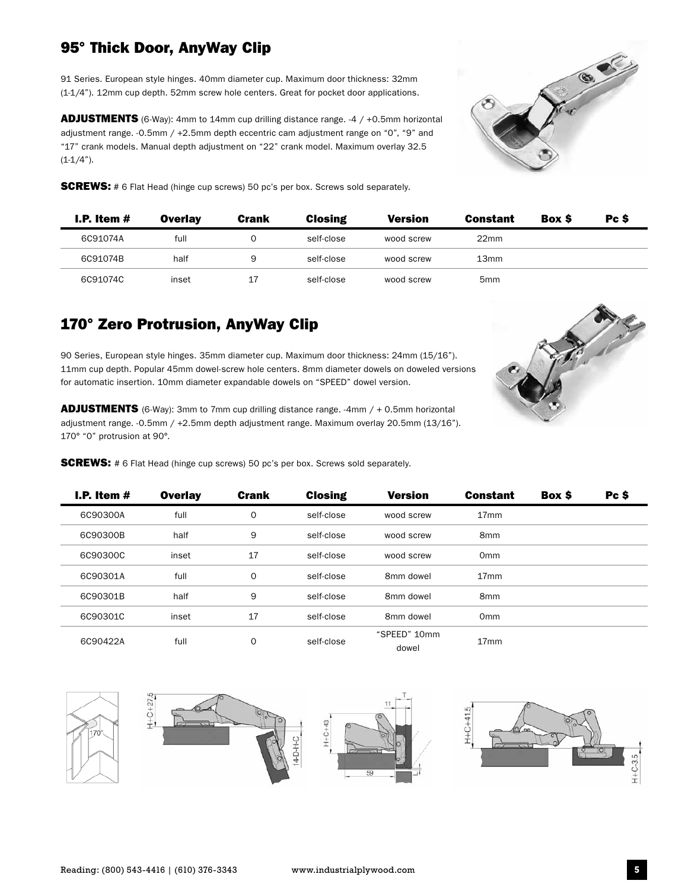### 95° Thick Door, AnyWay Clip

91 Series. European style hinges. 40mm diameter cup. Maximum door thickness: 32mm (1-1/4"). 12mm cup depth. 52mm screw hole centers. Great for pocket door applications.

ADJUSTMENTS (6-Way): 4mm to 14mm cup drilling distance range. -4 / +0.5mm horizontal adjustment range. -0.5mm / +2.5mm depth eccentric cam adjustment range on "0", "9" and "17" crank models. Manual depth adjustment on "22" crank model. Maximum overlay 32.5  $(1-1/4)$ .



**SCREWS:** # 6 Flat Head (hinge cup screws) 50 pc's per box. Screws sold separately.

| I.P. Item $#$ | <b>Overlay</b> | <b>Crank</b> | <b>Closing</b> | <b>Version</b> | <b>Constant</b>  | <b>Box S</b> | Pc \$ |
|---------------|----------------|--------------|----------------|----------------|------------------|--------------|-------|
| 6C91074A      | full           |              | self-close     | wood screw     | 22 <sub>mm</sub> |              |       |
| 6C91074B      | half           | 9            | self-close     | wood screw     | 13 <sub>mm</sub> |              |       |
| 6C91074C      | inset          | 17           | self-close     | wood screw     | 5 <sub>mm</sub>  |              |       |

#### 170° Zero Protrusion, AnyWay Clip

90 Series, European style hinges. 35mm diameter cup. Maximum door thickness: 24mm (15/16"). 11mm cup depth. Popular 45mm dowel-screw hole centers. 8mm diameter dowels on doweled versions for automatic insertion. 10mm diameter expandable dowels on "SPEED" dowel version.

ADJUSTMENTS (6-Way): 3mm to 7mm cup drilling distance range. -4mm / + 0.5mm horizontal adjustment range. -0.5mm / +2.5mm depth adjustment range. Maximum overlay 20.5mm (13/16"). 170° "0" protrusion at 90°.

**SCREWS:** # 6 Flat Head (hinge cup screws) 50 pc's per box. Screws sold separately.

| I.P. Item # | <b>Overlay</b> | <b>Crank</b> | <b>Closing</b> | <b>Version</b>        | <b>Constant</b>  | Box \$ | Pc \$ |
|-------------|----------------|--------------|----------------|-----------------------|------------------|--------|-------|
| 6C90300A    | full           | $\mathbf 0$  | self-close     | wood screw            | 17 <sub>mm</sub> |        |       |
| 6C90300B    | half           | 9            | self-close     | wood screw            | 8 <sub>mm</sub>  |        |       |
| 6C90300C    | inset          | 17           | self-close     | wood screw            | 0 <sub>mm</sub>  |        |       |
| 6C90301A    | full           | $\Omega$     | self-close     | 8mm dowel             | 17 <sub>mm</sub> |        |       |
| 6C90301B    | half           | 9            | self-close     | 8mm dowel             | 8 <sub>mm</sub>  |        |       |
| 6C90301C    | inset          | 17           | self-close     | 8mm dowel             | 0 <sub>mm</sub>  |        |       |
| 6C90422A    | full           | $\Omega$     | self-close     | "SPEED" 10mm<br>dowel | 17 <sub>mm</sub> |        |       |



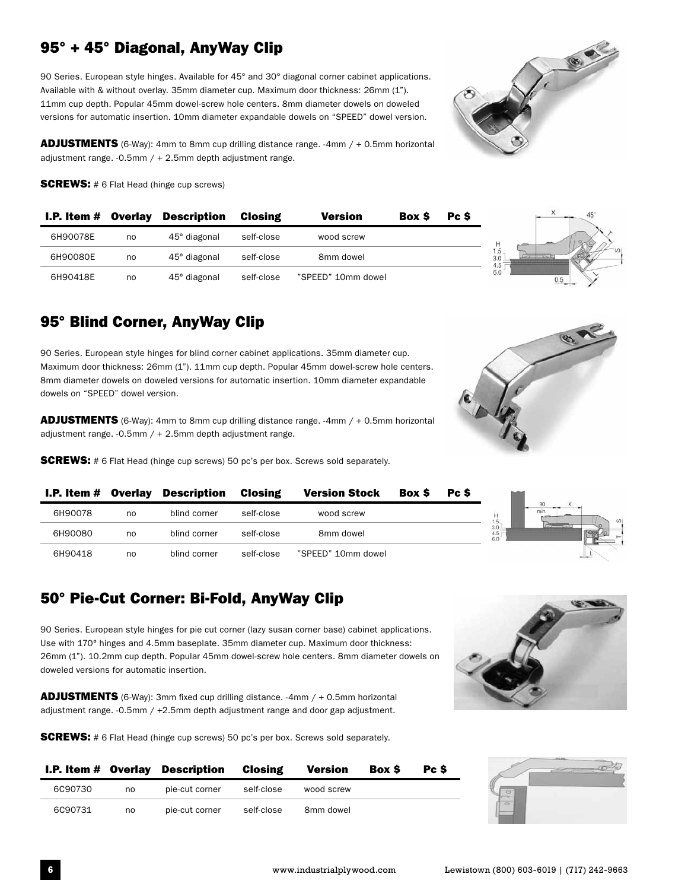# 95° + 45° Diagonal, AnyWay Clip

90 Series. European style hinges. Available for 45° and 30° diagonal corner cabinet applications. Available with & without overlay. 35mm diameter cup. Maximum door thickness: 26mm (1"). 11mm cup depth. Popular 45mm dowel-screw hole centers. 8mm diameter dowels on doweled versions for automatic insertion. 10mm diameter expandable dowels on "SPEED" dowel version.

**ADJUSTMENTS** (6-Way): 4mm to 8mm cup drilling distance range. -4mm / + 0.5mm horizontal adjustment range.  $-0.5$ mm  $/ + 2.5$ mm depth adjustment range.

**SCREWS:** # 6 Flat Head (hinge cup screws)

| <b>I.P. Item <math>#</math> Overlay</b> |    | <b>Description</b> | Closing    | <b>Version</b>     | <b>Box S</b> | Pc \$ |
|-----------------------------------------|----|--------------------|------------|--------------------|--------------|-------|
| 6H90078E                                | no | 45° diagonal       | self-close | wood screw         |              |       |
| 6H90080E                                | no | 45° diagonal       | self-close | 8mm dowel          |              |       |
| 6H90418E                                | no | 45° diagonal       | self-close | "SPEED" 10mm dowel |              |       |

#### 95° Blind Corner, AnyWay Clip

90 Series. European style hinges for blind corner cabinet applications. 35mm diameter cup. Maximum door thickness: 26mm (1"). 11mm cup depth. Popular 45mm dowel-screw hole centers. 8mm diameter dowels on doweled versions for automatic insertion. 10mm diameter expandable dowels on "SPEED" dowel version.

**ADJUSTMENTS** (6-Way): 4mm to 8mm cup drilling distance range. -4mm / + 0.5mm horizontal adjustment range.  $-0.5$ mm  $/ + 2.5$ mm depth adjustment range.

**SCREWS:** # 6 Flat Head (hinge cup screws) 50 pc's per box. Screws sold separately.



|         |    | <b>I.P. Item # Overlay Description Closing</b> |            | <b>Version Stock</b> | Box \$ | Pc S |                       |
|---------|----|------------------------------------------------|------------|----------------------|--------|------|-----------------------|
| 6H90078 | no | blind corner                                   | self-close | wood screw           |        |      | 1.5                   |
| 6H90080 | no | blind corner                                   | self-close | 8mm dowel            |        |      | 3.0<br>$^{4.5}_{6.0}$ |
| 6H90418 | no | blind corner                                   | self-close | "SPEED" 10mm dowel   |        |      |                       |

# 50° Pie-Cut Corner: Bi-Fold, AnyWay Clip

90 Series. European style hinges for pie cut corner (lazy susan corner base) cabinet applications. Use with 170° hinges and 4.5mm baseplate. 35mm diameter cup. Maximum door thickness: 26mm (1"). 10.2mm cup depth. Popular 45mm dowel-screw hole centers. 8mm diameter dowels on doweled versions for automatic insertion.

ADJUSTMENTS (6-Way): 3mm fixed cup drilling distance. -4mm / + 0.5mm horizontal adjustment range. -0.5mm / +2.5mm depth adjustment range and door gap adjustment.

**SCREWS:** # 6 Flat Head (hinge cup screws) 50 pc's per box. Screws sold separately.



|         |    | <b>I.P. Item # Overlay Description Closing</b> |            | Version    | <b>Box S</b> | Pc S |
|---------|----|------------------------------------------------|------------|------------|--------------|------|
| 6C90730 | no | pie-cut corner                                 | self-close | wood screw |              |      |
| 6C90731 | no | pie-cut corner                                 | self-close | 8mm dowel  |              |      |

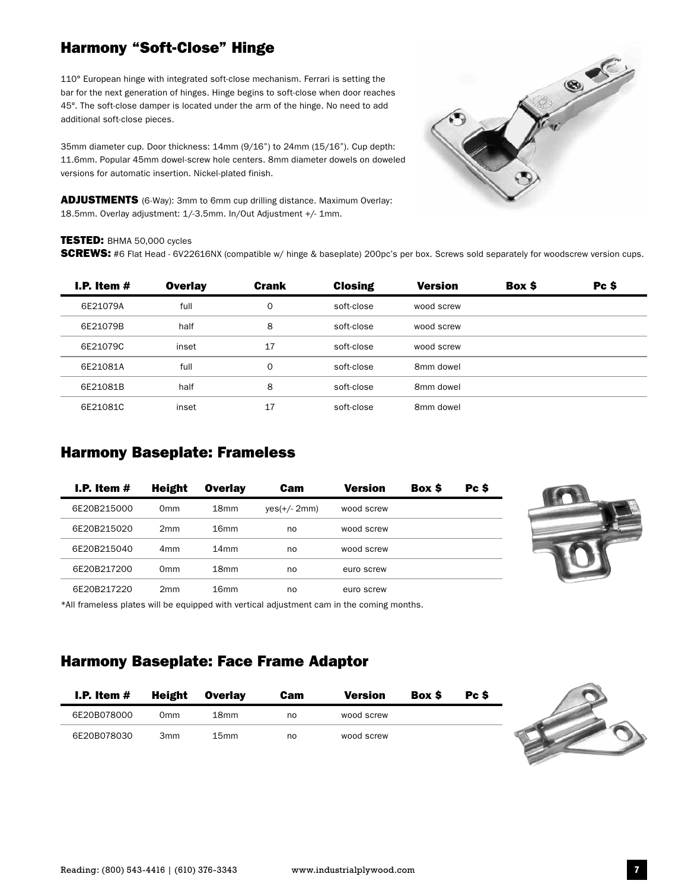#### Harmony "Soft-Close" Hinge

110° European hinge with integrated soft-close mechanism. Ferrari is setting the bar for the next generation of hinges. Hinge begins to soft-close when door reaches 45°. The soft-close damper is located under the arm of the hinge. No need to add additional soft-close pieces.

35mm diameter cup. Door thickness: 14mm (9/16") to 24mm (15/16"). Cup depth: 11.6mm. Popular 45mm dowel-screw hole centers. 8mm diameter dowels on doweled versions for automatic insertion. Nickel-plated finish.

ADJUSTMENTS (6-Way): 3mm to 6mm cup drilling distance. Maximum Overlay: 18.5mm. Overlay adjustment: 1/-3.5mm. In/Out Adjustment +/- 1mm.



#### TESTED: BHMA 50,000 cycles

SCREWS: #6 Flat Head - 6V22616NX (compatible w/ hinge & baseplate) 200pc's per box. Screws sold separately for woodscrew version cups.

| I.P. Item $#$ | <b>Overlay</b> | <b>Crank</b> | <b>Closing</b> | <b>Version</b> | Box \$ | Pc \$ |
|---------------|----------------|--------------|----------------|----------------|--------|-------|
| 6E21079A      | full           | 0            | soft-close     | wood screw     |        |       |
| 6E21079B      | half           | 8            | soft-close     | wood screw     |        |       |
| 6E21079C      | inset          | 17           | soft-close     | wood screw     |        |       |
| 6E21081A      | full           | $\mathbf 0$  | soft-close     | 8mm dowel      |        |       |
| 6E21081B      | half           | 8            | soft-close     | 8mm dowel      |        |       |
| 6E21081C      | inset          | 17           | soft-close     | 8mm dowel      |        |       |

#### Harmony Baseplate: Frameless

| I.P. Item $#$ | <b>Height</b>   | <b>Overlay</b>   | Cam            | <b>Version</b> | Box \$ | Pc \$ |
|---------------|-----------------|------------------|----------------|----------------|--------|-------|
| 6E20B215000   | 0 <sub>mm</sub> | 18 <sub>mm</sub> | $yes(+/- 2mm)$ | wood screw     |        |       |
| 6E20B215020   | 2mm             | 16mm             | no             | wood screw     |        |       |
| 6E20B215040   | 4 <sub>mm</sub> | 14 <sub>mm</sub> | no             | wood screw     |        |       |
| 6E20B217200   | Omm             | 18 <sub>mm</sub> | no             | euro screw     |        |       |
| 6E20B217220   | 2 <sub>mm</sub> | 16 <sub>mm</sub> | no             | euro screw     |        |       |

\*All frameless plates will be equipped with vertical adjustment cam in the coming months.

#### Harmony Baseplate: Face Frame Adaptor

| I.P. Item $#$ | Height          | Overlav          | <b>Cam</b> | <b>Version</b> | <b>Box S</b> | Pc S |
|---------------|-----------------|------------------|------------|----------------|--------------|------|
| 6E20B078000   | 0mm             | 18 <sub>mm</sub> | no         | wood screw     |              |      |
| 6E20B078030   | 3 <sub>mm</sub> | 15 <sub>mm</sub> | no         | wood screw     |              |      |

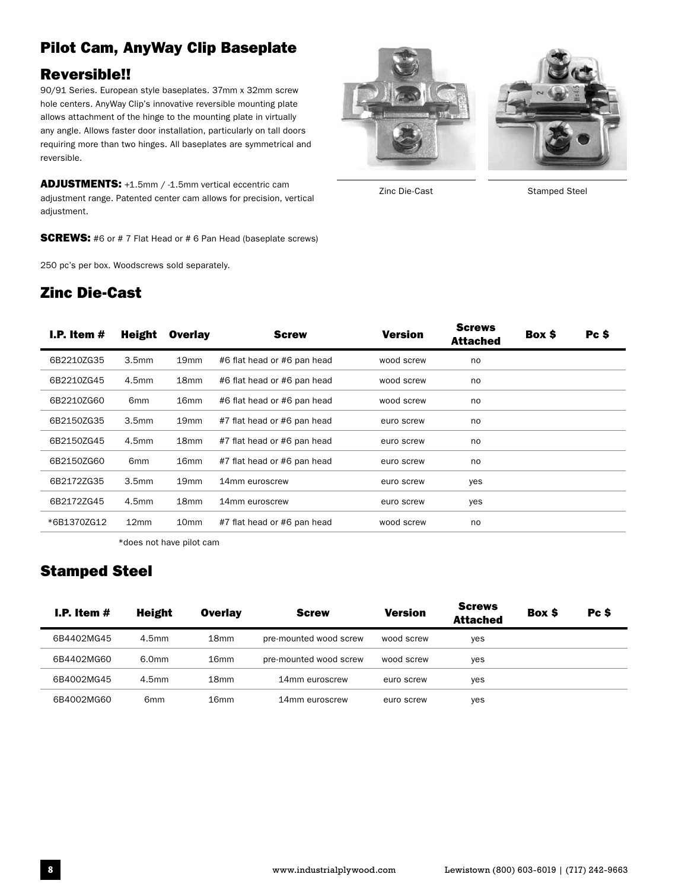# Pilot Cam, AnyWay Clip Baseplate Reversible!!

90/91 Series. European style baseplates. 37mm x 32mm screw hole centers. AnyWay Clip's innovative reversible mounting plate allows attachment of the hinge to the mounting plate in virtually any angle. Allows faster door installation, particularly on tall doors requiring more than two hinges. All baseplates are symmetrical and reversible.

ADJUSTMENTS: +1.5mm / -1.5mm vertical eccentric cam adjustment range. Patented center cam allows for precision, vertical adjustment.

**SCREWS:** #6 or #7 Flat Head or #6 Pan Head (baseplate screws)

250 pc's per box. Woodscrews sold separately.

#### Zinc Die-Cast





Zinc Die-Cast Stamped Steel

| I.P. Item $#$ | Height            | <b>Overlay</b>   | <b>Screw</b>                | <b>Version</b> | <b>Screws</b><br><b>Attached</b> | Box \$ | Pc \$ |
|---------------|-------------------|------------------|-----------------------------|----------------|----------------------------------|--------|-------|
| 6B2210ZG35    | 3.5 <sub>mm</sub> | 19 <sub>mm</sub> | #6 flat head or #6 pan head | wood screw     | no                               |        |       |
| 6B2210ZG45    | 4.5 <sub>mm</sub> | 18 <sub>mm</sub> | #6 flat head or #6 pan head | wood screw     | no                               |        |       |
| 6B2210ZG60    | 6 <sub>mm</sub>   | 16 <sub>mm</sub> | #6 flat head or #6 pan head | wood screw     | no                               |        |       |
| 6B2150ZG35    | 3.5 <sub>mm</sub> | 19 <sub>mm</sub> | #7 flat head or #6 pan head | euro screw     | no                               |        |       |
| 6B2150ZG45    | 4.5 <sub>mm</sub> | 18 <sub>mm</sub> | #7 flat head or #6 pan head | euro screw     | no                               |        |       |
| 6B2150ZG60    | 6 <sub>mm</sub>   | 16 <sub>mm</sub> | #7 flat head or #6 pan head | euro screw     | no                               |        |       |
| 6B2172ZG35    | 3.5 <sub>mm</sub> | 19 <sub>mm</sub> | 14mm euroscrew              | euro screw     | yes                              |        |       |
| 6B2172ZG45    | 4.5 <sub>mm</sub> | 18 <sub>mm</sub> | 14mm euroscrew              | euro screw     | yes                              |        |       |
| *6B1370ZG12   | 12 <sub>mm</sub>  | 10 <sub>mm</sub> | #7 flat head or #6 pan head | wood screw     | no                               |        |       |

\*does not have pilot cam

#### Stamped Steel

| I.P. Item $#$ | <b>Height</b>     | <b>Overlay</b>   | <b>Screw</b>           | <b>Version</b> | <b>Screws</b><br><b>Attached</b> | <b>Box S</b> | Pc \$ |
|---------------|-------------------|------------------|------------------------|----------------|----------------------------------|--------------|-------|
| 6B4402MG45    | 4.5 <sub>mm</sub> | 18 <sub>mm</sub> | pre-mounted wood screw | wood screw     | yes                              |              |       |
| 6B4402MG60    | 6.0mm             | 16 <sub>mm</sub> | pre-mounted wood screw | wood screw     | yes                              |              |       |
| 6B4002MG45    | 4.5 <sub>mm</sub> | 18 <sub>mm</sub> | 14mm euroscrew         | euro screw     | yes                              |              |       |
| 6B4002MG60    | 6 <sub>mm</sub>   | 16 <sub>mm</sub> | 14mm euroscrew         | euro screw     | yes                              |              |       |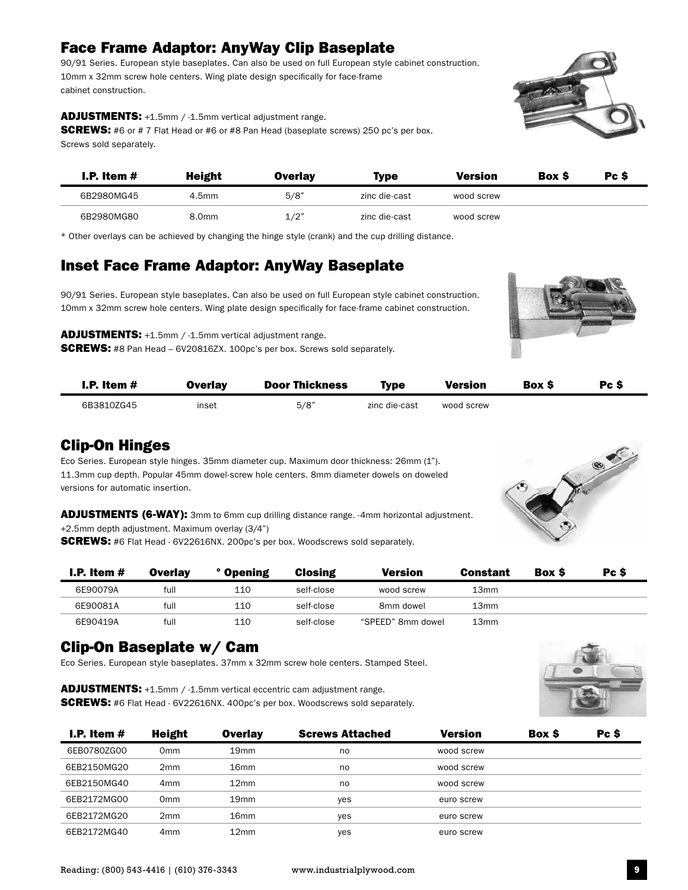# Face Frame Adaptor: AnyWay Clip Baseplate

90/91 Series. European style baseplates. Can also be used on full European style cabinet construction. 10mm x 32mm screw hole centers. Wing plate design specifically for face-frame cabinet construction.

#### ADJUSTMENTS: +1.5mm / -1.5mm vertical adjustment range.

**SCREWS:** #6 or # 7 Flat Head or #6 or #8 Pan Head (baseplate screws) 250 pc's per box. Screws sold separately.

| I.P. Item $#$ | <b>Height</b> | Overlav | <b>Type</b>   | Version    | <b>Box S</b> | Pc S |
|---------------|---------------|---------|---------------|------------|--------------|------|
| 6B2980MG45    | 4.5mm         | 5/8"    | zinc die-cast | wood screw |              |      |
| 6B2980MG80    | 8.0mm         | 1/2"    | zinc die-cast | wood screw |              |      |

\* Other overlays can be achieved by changing the hinge style (crank) and the cup drilling distance.

#### Inset Face Frame Adaptor: AnyWay Baseplate

90/91 Series. European style baseplates. Can also be used on full European style cabinet construction. 10mm x 32mm screw hole centers. Wing plate design specifically for face-frame cabinet construction.

ADJUSTMENTS: +1.5mm / -1.5mm vertical adjustment range. **SCREWS:** #8 Pan Head – 6V20816ZX. 100pc's per box. Screws sold separately.

| <b>I.P.</b> Item $#$ | Overlay | <b>Door Thickness</b> | Type          | <b>Version</b> | <b>Box S</b> | Pc S |
|----------------------|---------|-----------------------|---------------|----------------|--------------|------|
| 6B3810ZG45           | inset   | 5/8"                  | zinc die-cast | wood screw     |              |      |

#### Clip-On Hinges

Eco Series. European style hinges. 35mm diameter cup. Maximum door thickness: 26mm (1"). 11.3mm cup depth. Popular 45mm dowel-screw hole centers. 8mm diameter dowels on doweled versions for automatic insertion.

ADJUSTMENTS (6-WAY): 3mm to 6mm cup drilling distance range. -4mm horizontal adjustment. +2.5mm depth adjustment. Maximum overlay (3/4")

**SCREWS:** #6 Flat Head - 6V22616NX. 200pc's per box. Woodscrews sold separately.

| I.P. Item $#$ | Overlav | ° Opening | <b>Closing</b> | <b>Version</b>    | Constant         | <b>Box S</b> | Pc \$ |
|---------------|---------|-----------|----------------|-------------------|------------------|--------------|-------|
| 6E90079A      | full    | 110       | self-close     | wood screw        | 13 <sub>mm</sub> |              |       |
| 6E90081A      | full    | 110       | self-close     | 8mm dowel         | 13mm             |              |       |
| 6E90419A      | full    | 110       | self-close     | "SPEED" 8mm dowel | 13mm             |              |       |

#### Clip-On Baseplate w/ Cam

Eco Series. European style baseplates. 37mm x 32mm screw hole centers. Stamped Steel.

ADJUSTMENTS: +1.5mm / -1.5mm vertical eccentric cam adjustment range. SCREWS: #6 Flat Head - 6V22616NX. 400pc's per box. Woodscrews sold separately.



| I.P. Item $#$ | Height          | <b>Overlay</b>   | <b>Screws Attached</b> | <b>Version</b> | <b>Box S</b> | Pc \$ |
|---------------|-----------------|------------------|------------------------|----------------|--------------|-------|
| 6EB0780ZG00   | 0mm             | 19 <sub>mm</sub> | no                     | wood screw     |              |       |
| 6EB2150MG20   | 2mm             | 16 <sub>mm</sub> | no                     | wood screw     |              |       |
| 6EB2150MG40   | 4 <sub>mm</sub> | 12 <sub>mm</sub> | no                     | wood screw     |              |       |
| 6EB2172MG00   | 0mm             | 19 <sub>mm</sub> | yes                    | euro screw     |              |       |
| 6EB2172MG20   | 2 <sub>mm</sub> | 16 <sub>mm</sub> | yes                    | euro screw     |              |       |
| 6EB2172MG40   | 4mm             | 12 <sub>mm</sub> | yes                    | euro screw     |              |       |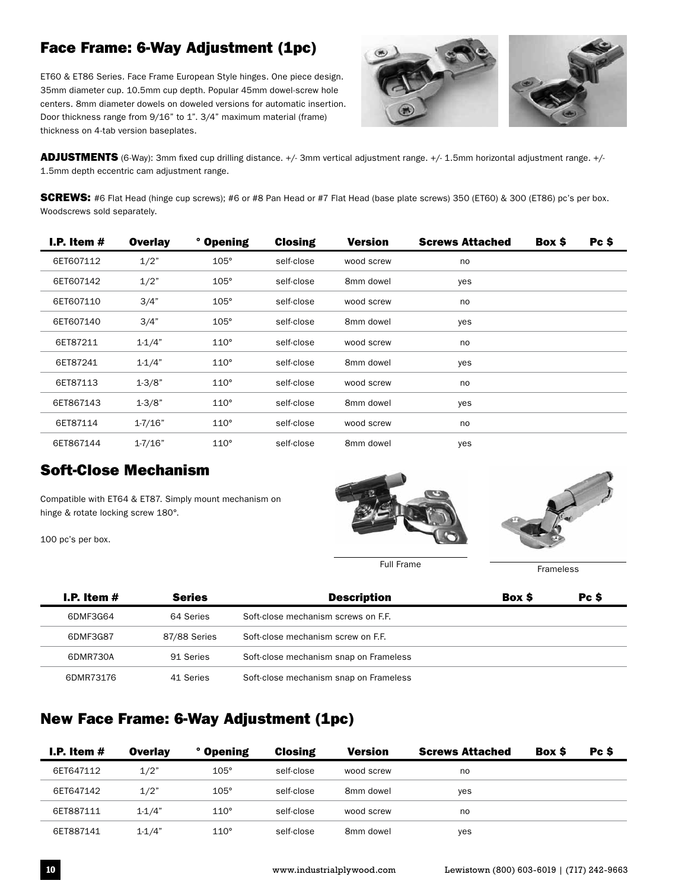# Face Frame: 6-Way Adjustment (1pc)

ET60 & ET86 Series. Face Frame European Style hinges. One piece design. 35mm diameter cup. 10.5mm cup depth. Popular 45mm dowel-screw hole centers. 8mm diameter dowels on doweled versions for automatic insertion. Door thickness range from 9/16" to 1". 3/4" maximum material (frame) thickness on 4-tab version baseplates.



ADJUSTMENTS (6-Way): 3mm fixed cup drilling distance. +/- 3mm vertical adjustment range. +/- 1.5mm horizontal adjustment range. +/- 1.5mm depth eccentric cam adjustment range.

**SCREWS:** #6 Flat Head (hinge cup screws); #6 or #8 Pan Head or #7 Flat Head (base plate screws) 350 (ET60) & 300 (ET86) pc's per box. Woodscrews sold separately.

| I.P. Item $#$ | <b>Overlay</b> | <b>Opening</b> | <b>Closing</b> | <b>Version</b> | <b>Screws Attached</b> | Box \$ | Pc \$ |
|---------------|----------------|----------------|----------------|----------------|------------------------|--------|-------|
| 6ET607112     | 1/2"           | $105^\circ$    | self-close     | wood screw     | no                     |        |       |
| 6ET607142     | 1/2"           | $105^\circ$    | self-close     | 8mm dowel      | yes                    |        |       |
| 6ET607110     | 3/4"           | $105^\circ$    | self-close     | wood screw     | no                     |        |       |
| 6ET607140     | 3/4"           | $105^\circ$    | self-close     | 8mm dowel      | yes                    |        |       |
| 6ET87211      | $1 - 1/4"$     | $110^\circ$    | self-close     | wood screw     | no                     |        |       |
| 6ET87241      | $1 - 1/4"$     | $110^\circ$    | self-close     | 8mm dowel      | yes                    |        |       |
| 6ET87113      | $1 - 3/8"$     | $110^\circ$    | self-close     | wood screw     | no                     |        |       |
| 6ET867143     | $1 - 3/8"$     | $110^\circ$    | self-close     | 8mm dowel      | yes                    |        |       |
| 6ET87114      | $1 - 7/16"$    | $110^\circ$    | self-close     | wood screw     | no                     |        |       |
| 6ET867144     | $1 - 7/16"$    | $110^\circ$    | self-close     | 8mm dowel      | yes                    |        |       |

#### Soft-Close Mechanism

Compatible with ET64 & ET87. Simply mount mechanism on hinge & rotate locking screw 180°.

100 pc's per box.





| I.P. Item $#$ | <b>Series</b> | <b>Description</b>                     | <b>Box S</b> | Pc S |
|---------------|---------------|----------------------------------------|--------------|------|
| 6DMF3G64      | 64 Series     | Soft-close mechanism screws on F.F.    |              |      |
| 6DMF3G87      | 87/88 Series  | Soft-close mechanism screw on F.F.     |              |      |
| 6DMR730A      | 91 Series     | Soft-close mechanism snap on Frameless |              |      |
| 6DMR73176     | 41 Series     | Soft-close mechanism snap on Frameless |              |      |

#### New Face Frame: 6-Way Adjustment (1pc)

| I.P. Item $#$ | <b>Overlay</b> | ° Opening   | <b>Closing</b> | <b>Version</b> | <b>Screws Attached</b> | Box \$ | Pc \$ |
|---------------|----------------|-------------|----------------|----------------|------------------------|--------|-------|
| 6ET647112     | 1/2"           | $105^\circ$ | self-close     | wood screw     | no                     |        |       |
| 6ET647142     | 1/2"           | $105^\circ$ | self-close     | 8mm dowel      | yes                    |        |       |
| 6ET887111     | $1-1/4"$       | $110^\circ$ | self-close     | wood screw     | no                     |        |       |
| 6ET887141     | $1 - 1/4"$     | $110^\circ$ | self-close     | 8mm dowel      | yes                    |        |       |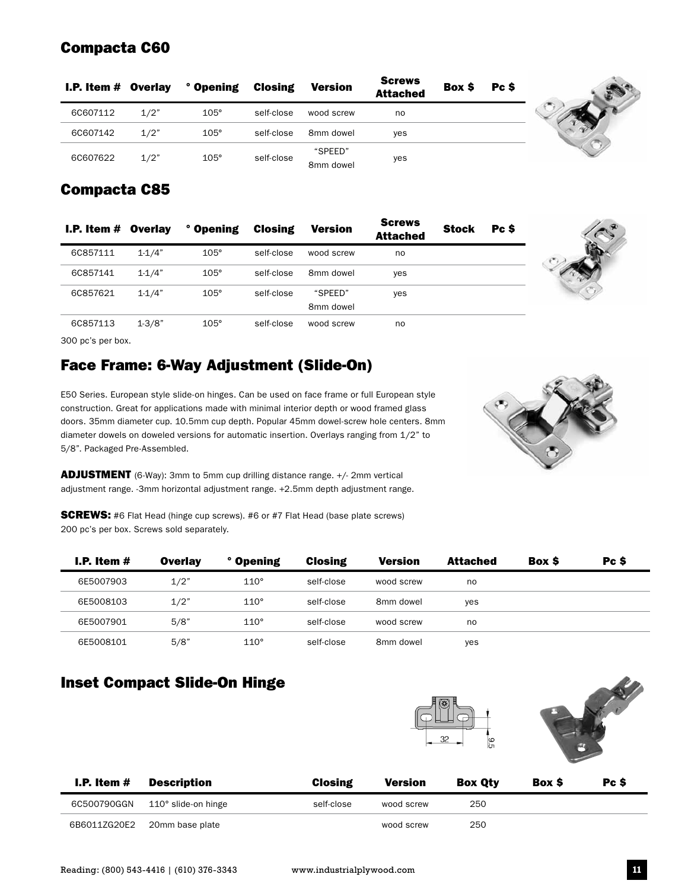# Compacta C60

| <b>I.P. Item <math>#</math> Overlay</b> |      | $^{\circ}$ Opening | <b>Closing</b> | <b>Version</b>       | <b>Screws</b><br><b>Attached</b> | Box \$ | Pc S |
|-----------------------------------------|------|--------------------|----------------|----------------------|----------------------------------|--------|------|
| 6C607112                                | 1/2" | $105^\circ$        | self-close     | wood screw           | no                               |        |      |
| 6C607142                                | 1/2" | $105^\circ$        | self-close     | 8mm dowel            | <b>ves</b>                       |        |      |
| 6C607622                                | 1/2" | $105^\circ$        | self-close     | "SPEED"<br>8mm dowel | yes                              |        |      |

# Compacta C85

| <b>I.P. Item <math>#</math> Overlay</b> |            | ° Opening   | <b>Closing</b> | <b>Version</b>       | <b>Screws</b><br><b>Attached</b> | <b>Stock</b> | Pc S |
|-----------------------------------------|------------|-------------|----------------|----------------------|----------------------------------|--------------|------|
| 6C857111                                | $1 - 1/4"$ | $105^\circ$ | self-close     | wood screw           | no                               |              |      |
| 6C857141                                | $1 - 1/4"$ | $105^\circ$ | self-close     | 8mm dowel            | yes                              |              |      |
| 6C857621                                | $1 - 1/4"$ | $105^\circ$ | self-close     | "SPEED"<br>8mm dowel | yes                              |              |      |
| 6C857113                                | $1 - 3/8"$ | $105^\circ$ | self-close     | wood screw           | no                               |              |      |

300 pc's per box.

# Face Frame: 6-Way Adjustment (Slide-On)

E50 Series. European style slide-on hinges. Can be used on face frame or full European style construction. Great for applications made with minimal interior depth or wood framed glass doors. 35mm diameter cup. 10.5mm cup depth. Popular 45mm dowel-screw hole centers. 8mm diameter dowels on doweled versions for automatic insertion. Overlays ranging from 1/2" to 5/8". Packaged Pre-Assembled.

ADJUSTMENT (6-Way): 3mm to 5mm cup drilling distance range. +/- 2mm vertical adjustment range. -3mm horizontal adjustment range. +2.5mm depth adjustment range.

**SCREWS:** #6 Flat Head (hinge cup screws). #6 or #7 Flat Head (base plate screws) 200 pc's per box. Screws sold separately.

| I.P. Item $\#$ | <b>Overlay</b> | ° Opening   | <b>Closing</b> | <b>Version</b> | <b>Attached</b> | Box \$ | Pc \$ |
|----------------|----------------|-------------|----------------|----------------|-----------------|--------|-------|
| 6E5007903      | 1/2"           | $110^\circ$ | self-close     | wood screw     | no              |        |       |
| 6E5008103      | 1/2"           | $110^\circ$ | self-close     | 8mm dowel      | yes             |        |       |
| 6E5007901      | 5/8"           | $110^\circ$ | self-close     | wood screw     | no              |        |       |
| 6E5008101      | 5/8"           | $110^\circ$ | self-close     | 8mm dowel      | yes             |        |       |

# Inset Compact Slide-On Hinge





| I.P. Item $#$ | Description         | <b>Closing</b> | <b>Version</b> | <b>Box Oty</b> | <b>Box S</b> | Pc S |  |
|---------------|---------------------|----------------|----------------|----------------|--------------|------|--|
| 6C500790GGN   | 110° slide-on hinge | self-close     | wood screw     | 250            |              |      |  |
| 6B6011ZG20E2  | 20mm base plate     |                | wood screw     | 250            |              |      |  |

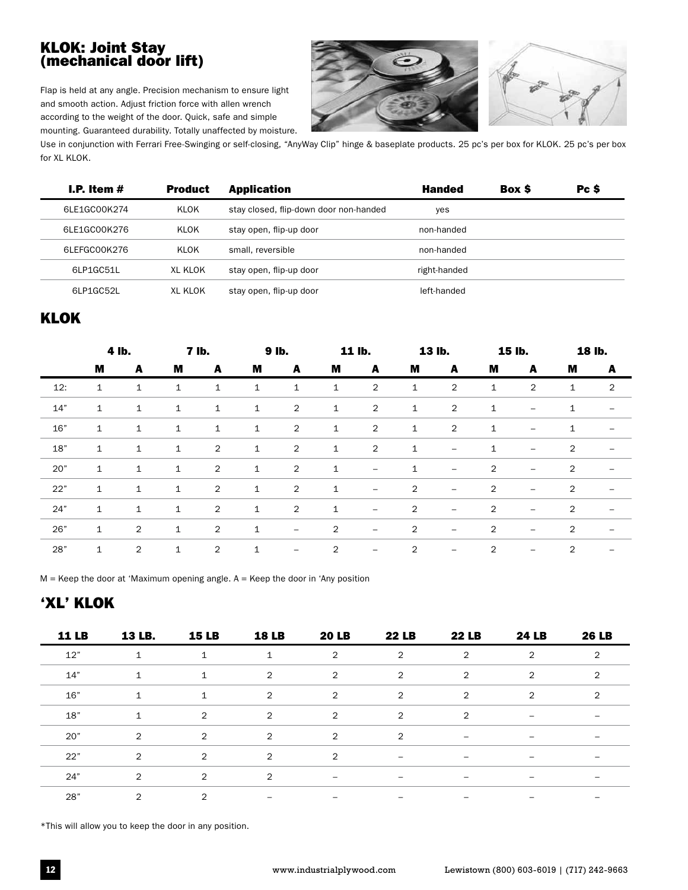#### KLOK: Joint Stay (mechanical door lift)

Flap is held at any angle. Precision mechanism to ensure light and smooth action. Adjust friction force with allen wrench according to the weight of the door. Quick, safe and simple mounting. Guaranteed durability. Totally unaffected by moisture.



Use in conjunction with Ferrari Free-Swinging or self-closing, "AnyWay Clip" hinge & baseplate products. 25 pc's per box for KLOK. 25 pc's per box for XL KLOK.

| I.P. Item $#$ | <b>Product</b> | <b>Application</b>                     | <b>Handed</b> | <b>Box S</b> | Pc \$ |
|---------------|----------------|----------------------------------------|---------------|--------------|-------|
| 6LE1GC00K274  | KLOK           | stay closed, flip-down door non-handed | yes           |              |       |
| 6LE1GC00K276  | KLOK           | stay open, flip-up door                | non-handed    |              |       |
| 6LEFGC00K276  | KLOK           | small, reversible                      | non-handed    |              |       |
| 6LP1GC51L     | XL KLOK        | stay open, flip-up door                | right-handed  |              |       |
| 61 P1GC52L    | XL KLOK        | stay open, flip-up door                | left-handed   |              |       |

#### KLOK

|     |              | 4 lb.        |              | <b>7 lb.</b>   | 9 lb.        |                          |                | 11 lb.                   |                | 13 lb.                   |                | 15 lb.                   |              | 18 lb.                   |
|-----|--------------|--------------|--------------|----------------|--------------|--------------------------|----------------|--------------------------|----------------|--------------------------|----------------|--------------------------|--------------|--------------------------|
|     | M            | A            | M            | A              | M            | A                        | M              | A                        | M              | A                        | M              | A                        | M            | A                        |
| 12: | $\mathbf{1}$ | $\mathbf 1$  | $\mathbf{1}$ | $\mathbf{1}$   | 1            | $\mathbf{1}$             | $\mathbf 1$    | $\overline{2}$           | $\mathbf{1}$   | 2                        | $\mathbf{1}$   | $\overline{2}$           | $\mathbf{1}$ | 2                        |
| 14" | 1            | 1            | $\mathbf{1}$ | $\mathbf 1$    | $\mathbf{1}$ | $\overline{2}$           | $\mathbf 1$    | $\overline{2}$           | $\mathbf{1}$   | $\overline{2}$           | $\mathbf{1}$   | $\overline{\phantom{m}}$ | 1            | $\overline{\phantom{m}}$ |
| 16" | $\mathbf{1}$ | $\mathbf{1}$ | $\mathbf{1}$ | $\mathbf{1}$   | $\mathbf{1}$ | $\overline{2}$           | $\mathbf{1}$   | $\overline{2}$           | $\mathbf{1}$   | $\overline{2}$           | $\mathbf{1}$   | $\overline{\phantom{m}}$ | 1            | $\overline{\phantom{m}}$ |
| 18" | $\mathbf{1}$ | $\mathbf{1}$ | $\mathbf{1}$ | $\overline{2}$ | $\mathbf{1}$ | $\overline{2}$           | $\mathbf{1}$   | $\overline{2}$           | $\mathbf{1}$   | $\overline{\phantom{m}}$ | $\mathbf{1}$   | $\overline{\phantom{m}}$ | 2            | $\overline{\phantom{a}}$ |
| 20" | 1            | $\mathbf{1}$ | $\mathbf{1}$ | $\overline{2}$ | $\mathbf{1}$ | $\overline{2}$           | $\mathbf{1}$   | $\overline{\phantom{0}}$ | $\mathbf{1}$   | $\overline{\phantom{m}}$ | $\overline{2}$ | $\overline{\phantom{m}}$ | 2            | $\overline{\phantom{m}}$ |
| 22" | $\mathbf{1}$ | $\mathbf{1}$ | $\mathbf{1}$ | $\overline{2}$ | $\mathbf{1}$ | $\overline{2}$           | $\mathbf{1}$   | $\qquad \qquad -$        | $\overline{2}$ | $\overline{\phantom{m}}$ | 2              | $\overline{\phantom{m}}$ | 2            | $\overline{\phantom{m}}$ |
| 24" | $\mathbf{1}$ | $\mathbf{1}$ | $\mathbf{1}$ | $\overline{2}$ | $\mathbf{1}$ | $\overline{2}$           | $\mathbf{1}$   | $\overline{\phantom{m}}$ | $\overline{2}$ | $\overline{\phantom{m}}$ | $\overline{2}$ | $\overline{\phantom{m}}$ | 2            | $\overline{\phantom{m}}$ |
| 26" | $\mathbf{1}$ | 2            | $\mathbf{1}$ | 2              | $\mathbf{1}$ | $\overline{\phantom{m}}$ | $\overline{2}$ | $\overline{\phantom{m}}$ | $\overline{2}$ | $\overline{\phantom{m}}$ | 2              | $\overline{\phantom{m}}$ | 2            | $\overline{\phantom{m}}$ |
| 28" | $\mathbf{1}$ | 2            | $1\,$        | $\overline{2}$ | $1\,$        | $\overline{\phantom{m}}$ | 2              | $\qquad \qquad -$        | 2              | -                        | 2              | $\overline{\phantom{m}}$ | 2            |                          |

 $M$  = Keep the door at 'Maximum opening angle. A = Keep the door in 'Any position

# 'XL' KLOK

| <b>11 LB</b> | 13 LB.         | <b>15 LB</b> | <b>18 LB</b>                 | <b>20 LB</b>                 | <b>22 LB</b>             | <b>22 LB</b>             | <b>24 LB</b>             | <b>26 LB</b>             |
|--------------|----------------|--------------|------------------------------|------------------------------|--------------------------|--------------------------|--------------------------|--------------------------|
| 12"          | 1              | 1            | $\mathbf{1}$                 | 2                            | $\overline{2}$           | 2                        | 2                        | $\overline{2}$           |
| 14"          | $\mathbf{1}$   | $\mathbf{1}$ | 2                            | 2                            | 2                        | 2                        | 2                        | 2                        |
| 16"          | $\mathbf{1}$   | $\mathbf{1}$ | 2                            | $\overline{2}$               | 2                        | 2                        | 2                        | 2                        |
| 18"          | $\mathbf{1}$   | 2            | $\overline{2}$               | $\overline{2}$               | 2                        | 2                        | $\overline{\phantom{m}}$ | $\overline{\phantom{m}}$ |
| 20"          | 2              | 2            | $\overline{2}$               | 2                            | 2                        | $\overline{\phantom{m}}$ | $\overline{\phantom{m}}$ | $\overline{\phantom{m}}$ |
| 22"          | 2              | 2            | 2                            | 2                            |                          | $\overline{\phantom{0}}$ |                          |                          |
| 24"          | 2              | 2            | 2                            | $\qquad \qquad \blacksquare$ | $\overline{\phantom{0}}$ | $\qquad \qquad$          |                          | $\qquad \qquad$          |
| 28"          | $\overline{2}$ | 2            | $\qquad \qquad \blacksquare$ | $\overline{\phantom{m}}$     | $\overline{\phantom{m}}$ |                          |                          |                          |

\*This will allow you to keep the door in any position.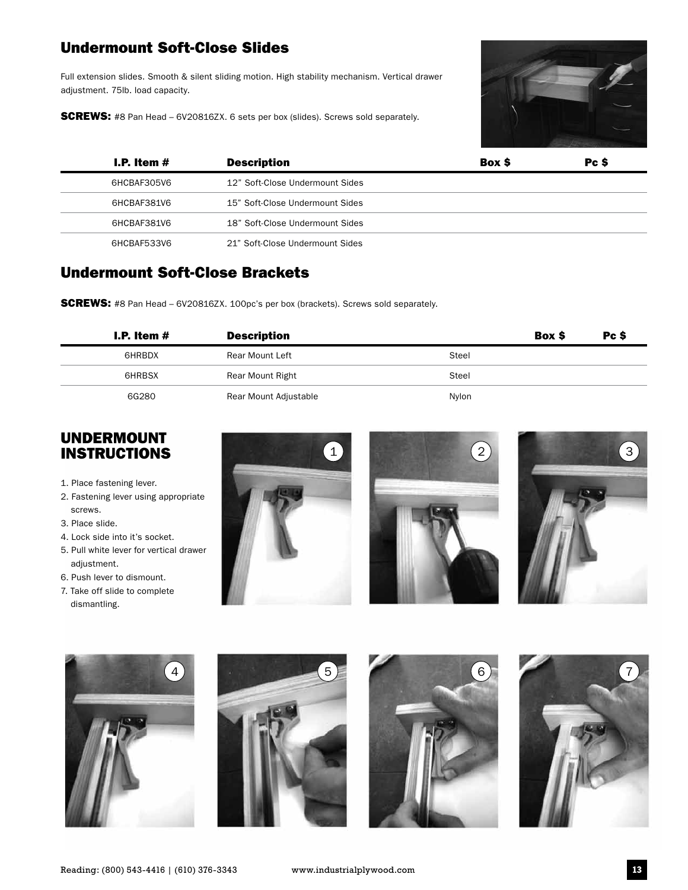### Undermount Soft-Close Slides

Full extension slides. Smooth & silent sliding motion. High stability mechanism. Vertical drawer adjustment. 75lb. load capacity.

**SCREWS:** #8 Pan Head - 6V20816ZX. 6 sets per box (slides). Screws sold separately.



| I.P. Item $#$ | <b>Description</b>              | <b>Box S</b> | Pc \$ |
|---------------|---------------------------------|--------------|-------|
| 6HCBAF305V6   | 12" Soft-Close Undermount Sides |              |       |
| 6HCBAF381V6   | 15" Soft-Close Undermount Sides |              |       |
| 6HCBAF381V6   | 18" Soft-Close Undermount Sides |              |       |
| 6HCBAF533V6   | 21" Soft-Close Undermount Sides |              |       |

#### Undermount Soft-Close Brackets

**SCREWS:** #8 Pan Head – 6V20816ZX. 100pc's per box (brackets). Screws sold separately.

| I.P. Item $#$ | <b>Description</b>    |       | Box \$ | Pc S |  |
|---------------|-----------------------|-------|--------|------|--|
| 6HRBDX        | Rear Mount Left       | Steel |        |      |  |
| 6HRBSX        | Rear Mount Right      | Steel |        |      |  |
| 6G280         | Rear Mount Adjustable | Nylon |        |      |  |

#### UNDERMOUNT INSTRUCTIONS

- 1. Place fastening lever.
- 2. Fastening lever using appropriate screws.
- 3. Place slide.
- 4. Lock side into it's socket.
- 5. Pull white lever for vertical drawer adjustment.
- 6. Push lever to dismount.
- 7. Take off slide to complete dismantling.













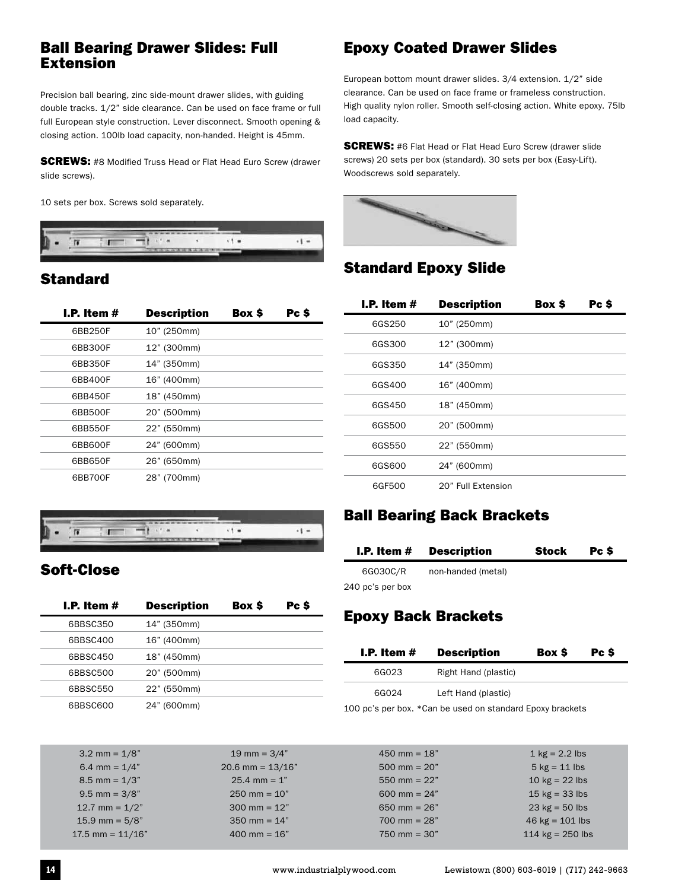#### Ball Bearing Drawer Slides: Full Extension

Precision ball bearing, zinc side-mount drawer slides, with guiding double tracks. 1/2" side clearance. Can be used on face frame or full full European style construction. Lever disconnect. Smooth opening & closing action. 100lb load capacity, non-handed. Height is 45mm.

**SCREWS:** #8 Modified Truss Head or Flat Head Euro Screw (drawer slide screws).

10 sets per box. Screws sold separately.



# **Standard**

| I.P. Item $#$ | <b>Description</b> | Box \$ | Pc \$ |
|---------------|--------------------|--------|-------|
| 6BB250F       | 10" (250mm)        |        |       |
| 6BB300F       | 12" (300mm)        |        |       |
| 6BB350F       | 14" (350mm)        |        |       |
| 6BB400F       | 16" (400mm)        |        |       |
| 6BB450F       | 18" (450mm)        |        |       |
| 6BB500F       | 20" (500mm)        |        |       |
| 6BB550F       | 22" (550mm)        |        |       |
| 6BB600F       | 24" (600mm)        |        |       |
| 6BB650F       | 26" (650mm)        |        |       |
| 6BB700F       | 28" (700mm)        |        |       |



# Soft-Close

| I.P. Item $#$ | <b>Description</b> | <b>Box S</b> | Pc \$ |
|---------------|--------------------|--------------|-------|
| 6BBSC350      | 14" (350mm)        |              |       |
| 6BBSC400      | 16" (400mm)        |              |       |
| 6BBSC450      | 18" (450mm)        |              |       |
| 6BBSC500      | 20" (500mm)        |              |       |
| 6BBSC550      | 22" (550mm)        |              |       |
| 6BBSC600      | 24" (600mm)        |              |       |

# Epoxy Coated Drawer Slides

European bottom mount drawer slides. 3/4 extension. 1/2" side clearance. Can be used on face frame or frameless construction. High quality nylon roller. Smooth self-closing action. White epoxy. 75lb load capacity.

**SCREWS:** #6 Flat Head or Flat Head Euro Screw (drawer slide screws) 20 sets per box (standard). 30 sets per box (Easy-Lift). Woodscrews sold separately.



# Standard Epoxy Slide

| I.P. Item $#$ | <b>Description</b> | Box \$ | Pc \$ |
|---------------|--------------------|--------|-------|
| 6GS250        | 10" (250mm)        |        |       |
| 6GS300        | 12" (300mm)        |        |       |
| 6GS350        | 14" (350mm)        |        |       |
| 6GS400        | 16" (400mm)        |        |       |
| 6GS450        | 18" (450mm)        |        |       |
| 6GS500        | 20" (500mm)        |        |       |
| 6GS550        | 22" (550mm)        |        |       |
| 6GS600        | 24" (600mm)        |        |       |
| 6GF500        | 20" Full Extension |        |       |

#### Ball Bearing Back Brackets

| I.P. Item $#$    | <b>Description</b> | Stock | Pc S |  |
|------------------|--------------------|-------|------|--|
| 6G030C/R         | non-handed (metal) |       |      |  |
| 240 pc's per box |                    |       |      |  |

# Epoxy Back Brackets

| I.P. Item $#$ | <b>Description</b>   | Box \$ | Pc \$ |
|---------------|----------------------|--------|-------|
| 6G023         | Right Hand (plastic) |        |       |
| 6G024         | Left Hand (plastic)  |        |       |

100 pc's per box. \*Can be used on standard Epoxy brackets

| $3.2$ mm = $1/8$ "   | 19 mm = $3/4"$         | $450$ mm = 18"          | 1 $kg = 2.2$ lbs                 |
|----------------------|------------------------|-------------------------|----------------------------------|
| 6.4 mm = $1/4"$      | 20.6 mm = $13/16"$     | $500 \text{ mm} = 20"$  | $5$ kg = 11 lbs                  |
| $8.5$ mm = $1/3"$    | $25.4$ mm = 1"         | 550 mm = $22"$          | 10 $kg = 22$ lbs                 |
| $9.5$ mm = $3/8$ "   | $250 \text{ mm} = 10"$ | 600 mm = $24"$          | 15 $kg = 33$ lbs                 |
| 12.7 mm = $1/2$ "    | $300 \text{ mm} = 12"$ | 650 mm = $26"$          | $23 \text{ kg} = 50 \text{ lbs}$ |
| $15.9$ mm = $5/8"$   | 350 mm = $14"$         | $700 \text{ mm} = 28$ " | 46 $kg = 101$ lbs                |
| $17.5$ mm = $11/16"$ | $400 \text{ mm} = 16"$ | $750 \text{ mm} = 30"$  | 114 $kg = 250$ lbs               |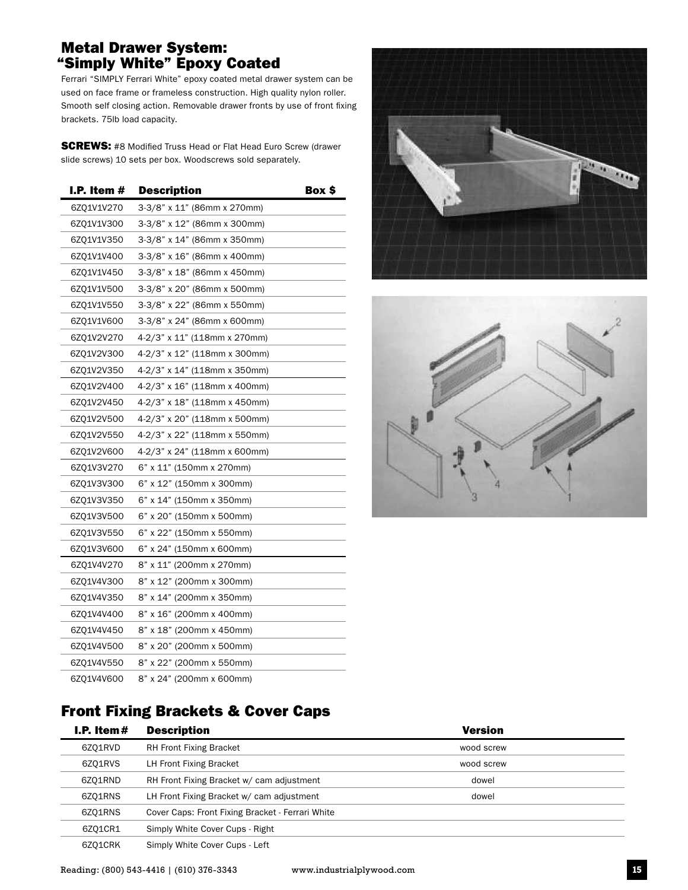#### Metal Drawer System: "Simply White" Epoxy Coated

Ferrari "SIMPLY Ferrari White" epoxy coated metal drawer system can be used on face frame or frameless construction. High quality nylon roller. Smooth self closing action. Removable drawer fronts by use of front fixing brackets. 75lb load capacity.

**SCREWS:** #8 Modified Truss Head or Flat Head Euro Screw (drawer slide screws) 10 sets per box. Woodscrews sold separately.

| I.P. Item $#$ | <b>Description</b>           | Box \$ |
|---------------|------------------------------|--------|
| 6ZQ1V1V270    | 3-3/8" x 11" (86mm x 270mm)  |        |
| 6ZQ1V1V300    | 3-3/8" x 12" (86mm x 300mm)  |        |
| 6ZQ1V1V350    | 3-3/8" x 14" (86mm x 350mm)  |        |
| 6ZQ1V1V400    | 3-3/8" x 16" (86mm x 400mm)  |        |
| 6ZQ1V1V450    | 3-3/8" x 18" (86mm x 450mm)  |        |
| 6Z01V1V500    | 3-3/8" x 20" (86mm x 500mm)  |        |
| 6Z01V1V550    | 3-3/8" x 22" (86mm x 550mm)  |        |
| 6ZQ1V1V600    | 3-3/8" x 24" (86mm x 600mm)  |        |
| 6ZQ1V2V270    | 4-2/3" x 11" (118mm x 270mm) |        |
| 6ZQ1V2V300    | 4-2/3" x 12" (118mm x 300mm) |        |
| 6ZQ1V2V350    | 4-2/3" x 14" (118mm x 350mm) |        |
| 6ZQ1V2V400    | 4-2/3" x 16" (118mm x 400mm) |        |
| 6ZQ1V2V450    | 4-2/3" x 18" (118mm x 450mm) |        |
| 6Z01V2V500    | 4-2/3" x 20" (118mm x 500mm) |        |
| 6ZQ1V2V550    | 4-2/3" x 22" (118mm x 550mm) |        |
| 6ZQ1V2V600    | 4-2/3" x 24" (118mm x 600mm) |        |
| 6ZQ1V3V270    | 6" x 11" (150mm x 270mm)     |        |
| 6ZQ1V3V300    | 6" x 12" (150mm x 300mm)     |        |
| 6ZQ1V3V350    | 6" x 14" (150mm x 350mm)     |        |
| 6ZQ1V3V500    | 6" x 20" (150mm x 500mm)     |        |
| 6Z01V3V550    | 6" x 22" (150mm x 550mm)     |        |
| 6ZQ1V3V600    | 6" x 24" (150mm x 600mm)     |        |
| 6ZQ1V4V270    | 8" x 11" (200mm x 270mm)     |        |
| 6ZQ1V4V300    | 8" x 12" (200mm x 300mm)     |        |
| 6ZQ1V4V350    | 8" x 14" (200mm x 350mm)     |        |
| 6ZQ1V4V400    | 8" x 16" (200mm x 400mm)     |        |
| 6ZQ1V4V450    | 8" x 18" (200mm x 450mm)     |        |
| 6Z01V4V500    | 8" x 20" (200mm x 500mm)     |        |
| 6ZQ1V4V550    | 8" x 22" (200mm x 550mm)     |        |
| 6Z01V4V600    | 8" x 24" (200mm x 600mm)     |        |





### Front Fixing Brackets & Cover Caps

| I.P. Item# | <b>Description</b>                               | <b>Version</b> |  |
|------------|--------------------------------------------------|----------------|--|
| 6Z01RVD    | <b>RH Front Fixing Bracket</b>                   | wood screw     |  |
| 6Z01RVS    | LH Front Fixing Bracket                          | wood screw     |  |
| 6ZQ1RND    | RH Front Fixing Bracket w/ cam adjustment        | dowel          |  |
| 6Z01RNS    | LH Front Fixing Bracket w/ cam adjustment        | dowel          |  |
| 6Z01RNS    | Cover Caps: Front Fixing Bracket - Ferrari White |                |  |
| 6Z01CR1    | Simply White Cover Cups - Right                  |                |  |
| 6ZO1CRK    | Simply White Cover Cups - Left                   |                |  |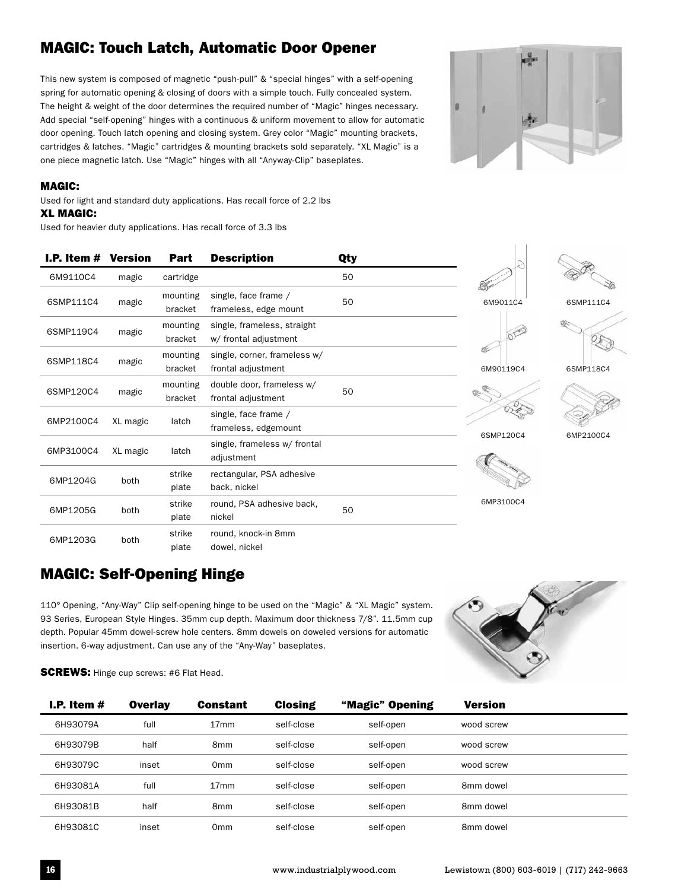# MAGIC: Touch Latch, Automatic Door Opener

This new system is composed of magnetic "push-pull" & "special hinges" with a self-opening spring for automatic opening & closing of doors with a simple touch. Fully concealed system. The height & weight of the door determines the required number of "Magic" hinges necessary. Add special "self-opening" hinges with a continuous & uniform movement to allow for automatic door opening. Touch latch opening and closing system. Grey color "Magic" mounting brackets, cartridges & latches. "Magic" cartridges & mounting brackets sold separately. "XL Magic" is a one piece magnetic latch. Use "Magic" hinges with all "Anyway-Clip" baseplates.



#### MAGIC:

Used for light and standard duty applications. Has recall force of 2.2 lbs XL MAGIC:

Used for heavier duty applications. Has recall force of 3.3 lbs

| I.P. Item $#$ | <b>Version</b> | Part                | <b>Description</b>                                   | Qty |           |
|---------------|----------------|---------------------|------------------------------------------------------|-----|-----------|
| 6M9110C4      | magic          | cartridge           |                                                      | 50  |           |
| 6SMP111C4     | magic          | mounting<br>bracket | single, face frame /<br>frameless, edge mount        | 50  | 6M9011C4  |
| 6SMP119C4     | magic          | mounting<br>bracket | single, frameless, straight<br>w/ frontal adjustment |     |           |
| 6SMP118C4     | magic          | mounting<br>bracket | single, corner, frameless w/<br>frontal adjustment   |     | 6M90119C4 |
| 6SMP120C4     | magic          | mounting<br>bracket | double door, frameless w/<br>frontal adjustment      | 50  |           |
| 6MP2100C4     | XL magic       | latch               | single, face frame /<br>frameless, edgemount         |     | 6SMP120C4 |
| 6MP3100C4     | XL magic       | latch               | single, frameless w/ frontal<br>adjustment           |     |           |
| 6MP1204G      | both           | strike<br>plate     | rectangular, PSA adhesive<br>back, nickel            |     |           |
| 6MP1205G      | both           | strike<br>plate     | round, PSA adhesive back,<br>nickel                  | 50  | 6MP3100C4 |
| 6MP1203G      | both           | strike<br>plate     | round, knock-in 8mm<br>dowel, nickel                 |     |           |





6SMP118C4





# MAGIC: Self-Opening Hinge

110° Opening, "Any-Way" Clip self-opening hinge to be used on the "Magic" & "XL Magic" system. 93 Series, European Style Hinges. 35mm cup depth. Maximum door thickness 7/8". 11.5mm cup depth. Popular 45mm dowel-screw hole centers. 8mm dowels on doweled versions for automatic insertion. 6-way adjustment. Can use any of the "Any-Way" baseplates.



**SCREWS:** Hinge cup screws: #6 Flat Head.

| I.P. Item $#$ | <b>Overlay</b> | <b>Constant</b>  | <b>Closing</b> | "Magic" Opening | <b>Version</b> |  |
|---------------|----------------|------------------|----------------|-----------------|----------------|--|
| 6H93079A      | full           | 17 <sub>mm</sub> | self-close     | self-open       | wood screw     |  |
| 6H93079B      | half           | 8 <sub>mm</sub>  | self-close     | self-open       | wood screw     |  |
| 6H93079C      | inset          | 0 <sub>mm</sub>  | self-close     | self-open       | wood screw     |  |
| 6H93081A      | full           | 17 <sub>mm</sub> | self-close     | self-open       | 8mm dowel      |  |
| 6H93081B      | half           | 8 <sub>mm</sub>  | self-close     | self-open       | 8mm dowel      |  |
| 6H93081C      | inset          | 0 <sub>mm</sub>  | self-close     | self-open       | 8mm dowel      |  |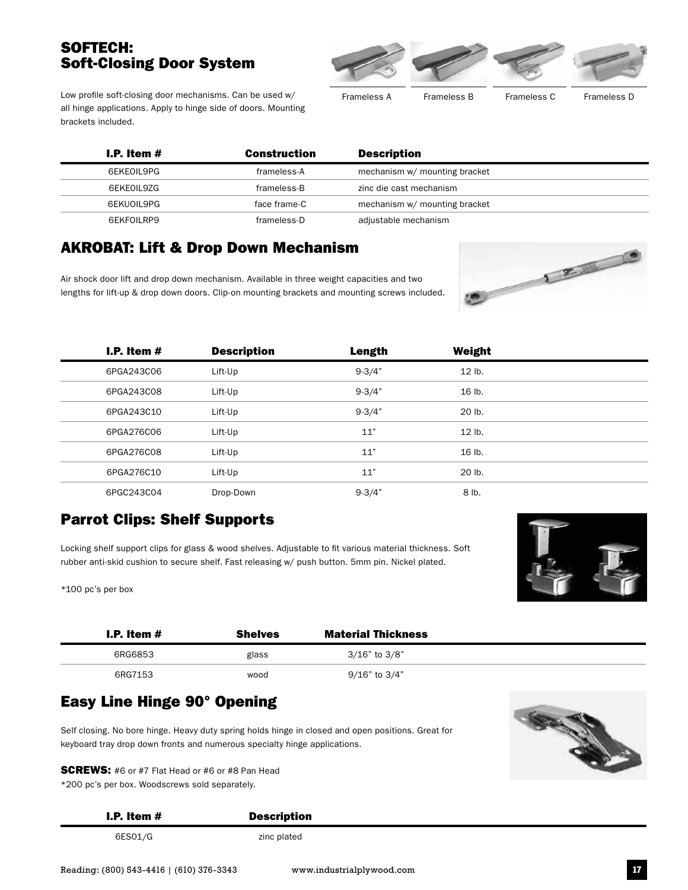#### SOFTECH: Soft-Closing Door System



Low profile soft-closing door mechanisms. Can be used w/ all hinge applications. Apply to hinge side of doors. Mounting brackets included.

Frameless A Frameless B Frameless C Frameless D

| I.P. Item $#$ | Construction | <b>Description</b>            |  |
|---------------|--------------|-------------------------------|--|
| 6EKEOIL9PG    | frameless-A  | mechanism w/ mounting bracket |  |
| 6EKE0IL9ZG    | frameless-B  | zinc die cast mechanism       |  |
| 6EKUOIL9PG    | face frame-C | mechanism w/ mounting bracket |  |
| 6EKFOILRP9    | frameless-D  | adjustable mechanism          |  |

#### AKROBAT: Lift & Drop Down Mechanism

Air shock door lift and drop down mechanism. Available in three weight capacities and two lengths for lift-up & drop down doors. Clip-on mounting brackets and mounting screws included.



| I.P. Item $#$ | <b>Description</b> | <b>Length</b> | Weight   |  |
|---------------|--------------------|---------------|----------|--|
| 6PGA243C06    | Lift-Up            | $9 - 3/4"$    | $12$ lb. |  |
| 6PGA243C08    | Lift-Up            | $9 - 3/4"$    | 16 lb.   |  |
| 6PGA243C10    | Lift-Up            | $9 - 3/4"$    | 20 lb.   |  |
| 6PGA276C06    | Lift-Up            | 11"           | $12$ lb. |  |
| 6PGA276C08    | Lift-Up            | 11"           | 16 lb.   |  |
| 6PGA276C10    | Lift-Up            | 11"           | 20 lb.   |  |
| 6PGC243C04    | Drop-Down          | $9 - 3/4"$    | 8 lb.    |  |

# Parrot Clips: Shelf Supports

Locking shelf support clips for glass & wood shelves. Adjustable to fit various material thickness. Soft rubber anti-skid cushion to secure shelf. Fast releasing w/ push button. 5mm pin. Nickel plated.

\*100 pc's per box



| I.P. Item $#$ | <b>Shelves</b> | <b>Material Thickness</b> |  |
|---------------|----------------|---------------------------|--|
| 6RG6853       | glass          | $3/16"$ to $3/8"$         |  |
| 6RG7153       | wood           | 9/16" to 3/4"             |  |

#### Easy Line Hinge 90° Opening

Self closing. No bore hinge. Heavy duty spring holds hinge in closed and open positions. Great for keyboard tray drop down fronts and numerous specialty hinge applications.





#### I.P. Item # Description

6ES01/G zinc plated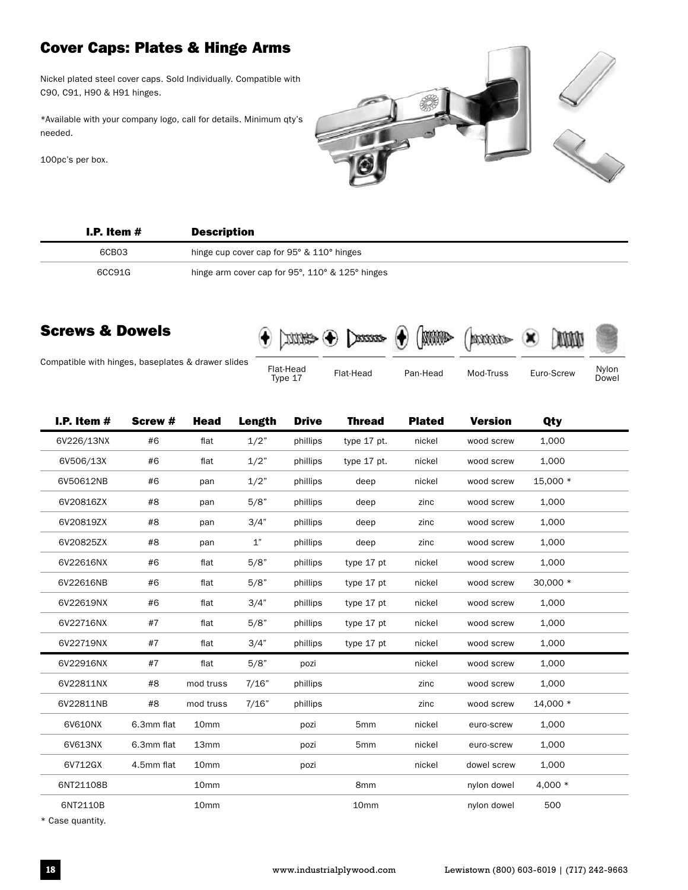# Cover Caps: Plates & Hinge Arms

Nickel plated steel cover caps. Sold Individually. Compatible with C90, C91, H90 & H91 hinges.

\*Available with your company logo, call for details. Minimum qty's needed.

100pc's per box.



| I.P. Item $#$ | <b>Description</b>                                          |
|---------------|-------------------------------------------------------------|
| 6CB03         | hinge cup cover cap for $95^{\circ}$ & $110^{\circ}$ hinges |
| 6CC91G        | hinge arm cover cap for 95°, 110° & 125° hinges             |

#### Screws & Dowels



Compatible with hinges, baseplates & drawer slides

Flat-Head<br>Type 17



Dowel

| I.P. Item $#$ | Screw #    | Head             | <b>Length</b>      | <b>Drive</b> | <b>Thread</b>   | <b>Plated</b> | <b>Version</b> | Qty       |  |
|---------------|------------|------------------|--------------------|--------------|-----------------|---------------|----------------|-----------|--|
| 6V226/13NX    | #6         | flat             | 1/2"               | phillips     | type 17 pt.     | nickel        | wood screw     | 1,000     |  |
| 6V506/13X     | #6         | flat             | 1/2"               | phillips     | type 17 pt.     | nickel        | wood screw     | 1,000     |  |
| 6V50612NB     | #6         | pan              | 1/2"               | phillips     | deep            | nickel        | wood screw     | 15,000 *  |  |
| 6V20816ZX     | #8         | pan              | 5/8"               | phillips     | deep            | zinc          | wood screw     | 1,000     |  |
| 6V20819ZX     | #8         | pan              | 3/4"               | phillips     | deep            | zinc          | wood screw     | 1,000     |  |
| 6V20825ZX     | #8         | pan              | $1^{\prime\prime}$ | phillips     | deep            | zinc          | wood screw     | 1,000     |  |
| 6V22616NX     | #6         | flat             | 5/8"               | phillips     | type 17 pt      | nickel        | wood screw     | 1,000     |  |
| 6V22616NB     | #6         | flat             | 5/8"               | phillips     | type 17 pt      | nickel        | wood screw     | 30,000 *  |  |
| 6V22619NX     | #6         | flat             | 3/4"               | phillips     | type 17 pt      | nickel        | wood screw     | 1,000     |  |
| 6V22716NX     | #7         | flat             | 5/8"               | phillips     | type 17 pt      | nickel        | wood screw     | 1,000     |  |
| 6V22719NX     | #7         | flat             | 3/4"               | phillips     | type 17 pt      | nickel        | wood screw     | 1,000     |  |
| 6V22916NX     | #7         | flat             | 5/8"               | pozi         |                 | nickel        | wood screw     | 1,000     |  |
| 6V22811NX     | #8         | mod truss        | 7/16"              | phillips     |                 | zinc          | wood screw     | 1,000     |  |
| 6V22811NB     | #8         | mod truss        | 7/16"              | phillips     |                 | zinc          | wood screw     | 14,000 *  |  |
| 6V610NX       | 6.3mm flat | 10 <sub>mm</sub> |                    | pozi         | 5 <sub>mm</sub> | nickel        | euro-screw     | 1,000     |  |
| 6V613NX       | 6.3mm flat | 13mm             |                    | pozi         | 5 <sub>mm</sub> | nickel        | euro-screw     | 1,000     |  |
| 6V712GX       | 4.5mm flat | 10 <sub>mm</sub> |                    | pozi         |                 | nickel        | dowel screw    | 1,000     |  |
| 6NT21108B     |            | 10 <sub>mm</sub> |                    |              | 8 <sub>mm</sub> |               | nylon dowel    | 4,000 $*$ |  |
| 6NT2110B      |            | 10mm             |                    |              | 10mm            |               | nylon dowel    | 500       |  |
|               |            |                  |                    |              |                 |               |                |           |  |

\* Case quantity.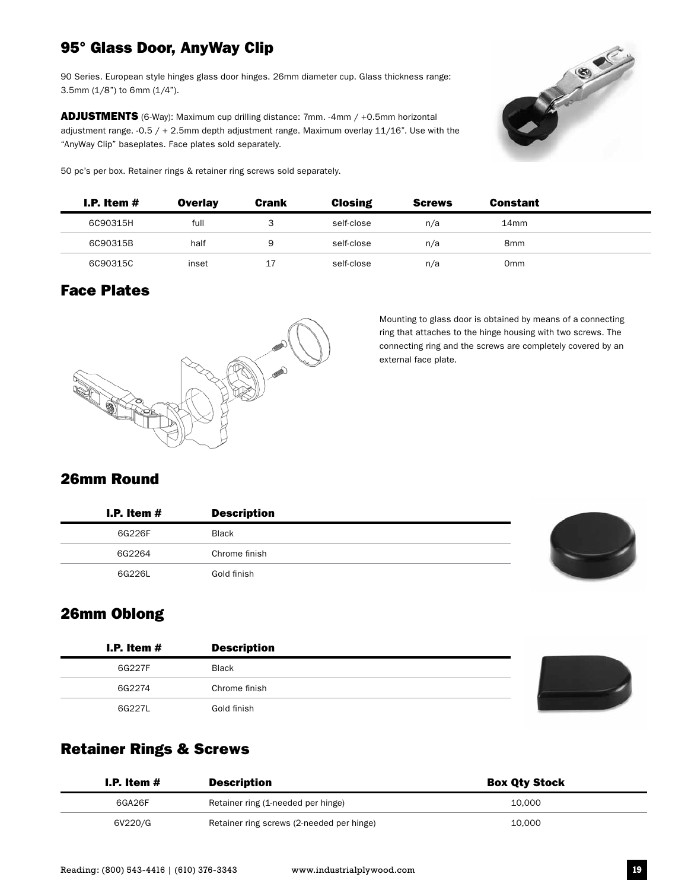# 95° Glass Door, AnyWay Clip

90 Series. European style hinges glass door hinges. 26mm diameter cup. Glass thickness range: 3.5mm (1/8") to 6mm (1/4").

ADJUSTMENTS (6-Way): Maximum cup drilling distance: 7mm. -4mm / +0.5mm horizontal adjustment range.  $-0.5 / + 2.5$ mm depth adjustment range. Maximum overlay 11/16". Use with the "AnyWay Clip" baseplates. Face plates sold separately.

50 pc's per box. Retainer rings & retainer ring screws sold separately.



| I.P. Item $#$ | <b>Overlay</b> | <b>Crank</b> | <b>Closing</b> | <b>Screws</b> | <b>Constant</b> |  |
|---------------|----------------|--------------|----------------|---------------|-----------------|--|
| 6C90315H      | full           |              | self-close     | n/a           | 14mm            |  |
| 6C90315B      | half           | 9            | self-close     | n/a           | 8 <sub>mm</sub> |  |
| 6C90315C      | inset          | 17           | self-close     | n/a           | 0 <sub>mm</sub> |  |

#### Face Plates



Mounting to glass door is obtained by means of a connecting ring that attaches to the hinge housing with two screws. The connecting ring and the screws are completely covered by an external face plate.

#### 26mm Round

| I.P. Item $#$ | <b>Description</b> |  |
|---------------|--------------------|--|
| 6G226F        | <b>Black</b>       |  |
| 6G2264        | Chrome finish      |  |
| 6G226L        | Gold finish        |  |



#### 26mm Oblong

| I.P. Item $#$ | <b>Description</b> |  |
|---------------|--------------------|--|
| 6G227F        | <b>Black</b>       |  |
| 6G2274        | Chrome finish      |  |
| 6G2271        | Gold finish        |  |

#### Retainer Rings & Screws

| I.P. Item $#$ | <b>Description</b>                        | <b>Box Qty Stock</b> |
|---------------|-------------------------------------------|----------------------|
| 6GA26F        | Retainer ring (1-needed per hinge)        | 10.000               |
| 6V220/G       | Retainer ring screws (2-needed per hinge) | 10.000               |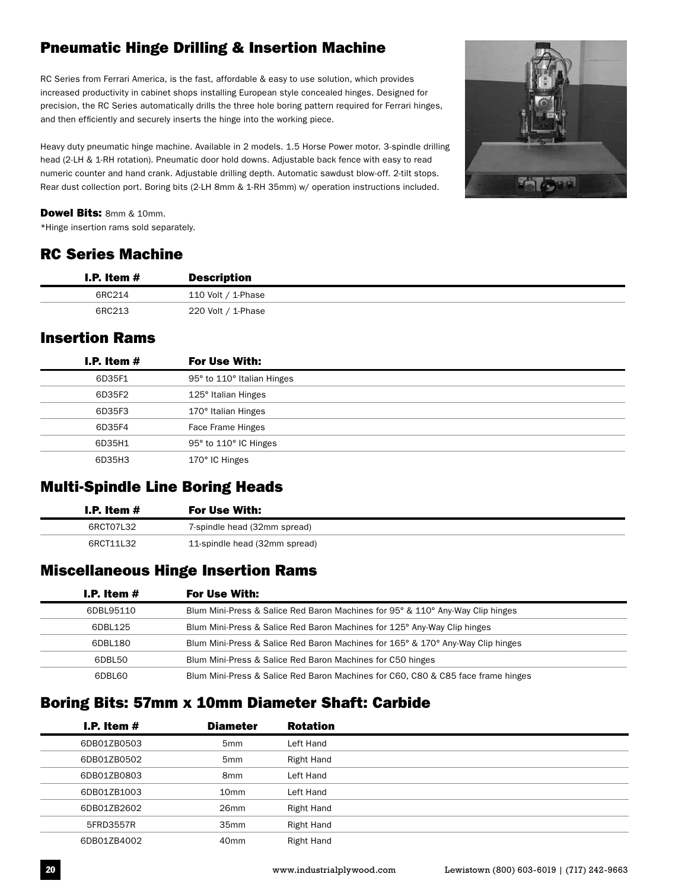# Pneumatic Hinge Drilling & Insertion Machine

RC Series from Ferrari America, is the fast, affordable & easy to use solution, which provides increased productivity in cabinet shops installing European style concealed hinges. Designed for precision, the RC Series automatically drills the three hole boring pattern required for Ferrari hinges, and then efficiently and securely inserts the hinge into the working piece.

Heavy duty pneumatic hinge machine. Available in 2 models. 1.5 Horse Power motor. 3-spindle drilling head (2-LH & 1-RH rotation). Pneumatic door hold downs. Adjustable back fence with easy to read numeric counter and hand crank. Adjustable drilling depth. Automatic sawdust blow-off. 2-tilt stops. Rear dust collection port. Boring bits (2-LH 8mm & 1-RH 35mm) w/ operation instructions included.



#### Dowel Bits: 8mm & 10mm.

\*Hinge insertion rams sold separately.

#### RC Series Machine

| I.P. Item $#$ | <b>Description</b> |
|---------------|--------------------|
| 6RC214        | 110 Volt / 1-Phase |
| 6RC213        | 220 Volt / 1-Phase |

#### Insertion Rams

| I.P. Item $#$ | <b>For Use With:</b>       |
|---------------|----------------------------|
| 6D35F1        | 95° to 110° Italian Hinges |
| 6D35F2        | 125° Italian Hinges        |
| 6D35F3        | 170° Italian Hinges        |
| 6D35F4        | Face Frame Hinges          |
| 6D35H1        | 95° to 110° IC Hinges      |
| 6D35H3        | 170° IC Hinges             |

# Multi-Spindle Line Boring Heads

| I.P. Item $#$ | For Use With:                 |  |  |
|---------------|-------------------------------|--|--|
| 6RCT07L32     | 7-spindle head (32mm spread)  |  |  |
| 6RCT11L32     | 11-spindle head (32mm spread) |  |  |

#### Miscellaneous Hinge Insertion Rams

| <b>I.P.</b> Item $#$ | For Use With:                                                                    |
|----------------------|----------------------------------------------------------------------------------|
| 6DBL95110            | Blum Mini-Press & Salice Red Baron Machines for 95° & 110° Any-Way Clip hinges   |
| 6DBL125              | Blum Mini-Press & Salice Red Baron Machines for 125° Any-Way Clip hinges         |
| 6DBL180              | Blum Mini-Press & Salice Red Baron Machines for 165° & 170° Any-Way Clip hinges  |
| 6DBL50               | Blum Mini-Press & Salice Red Baron Machines for C50 hinges                       |
| 6DBL60               | Blum Mini-Press & Salice Red Baron Machines for C60, C80 & C85 face frame hinges |

#### Boring Bits: 57mm x 10mm Diameter Shaft: Carbide

| I.P. Item $#$ | <b>Diameter</b>  | <b>Rotation</b> |
|---------------|------------------|-----------------|
| 6DB01ZB0503   | 5 <sub>mm</sub>  | Left Hand       |
| 6DB01ZB0502   | 5 <sub>mm</sub>  | Right Hand      |
| 6DB01ZB0803   | 8 <sub>mm</sub>  | Left Hand       |
| 6DB01ZB1003   | 10 <sub>mm</sub> | Left Hand       |
| 6DB01ZB2602   | 26 <sub>mm</sub> | Right Hand      |
| 5FRD3557R     | 35 <sub>mm</sub> | Right Hand      |
| 6DB01ZB4002   | 40 <sub>mm</sub> | Right Hand      |